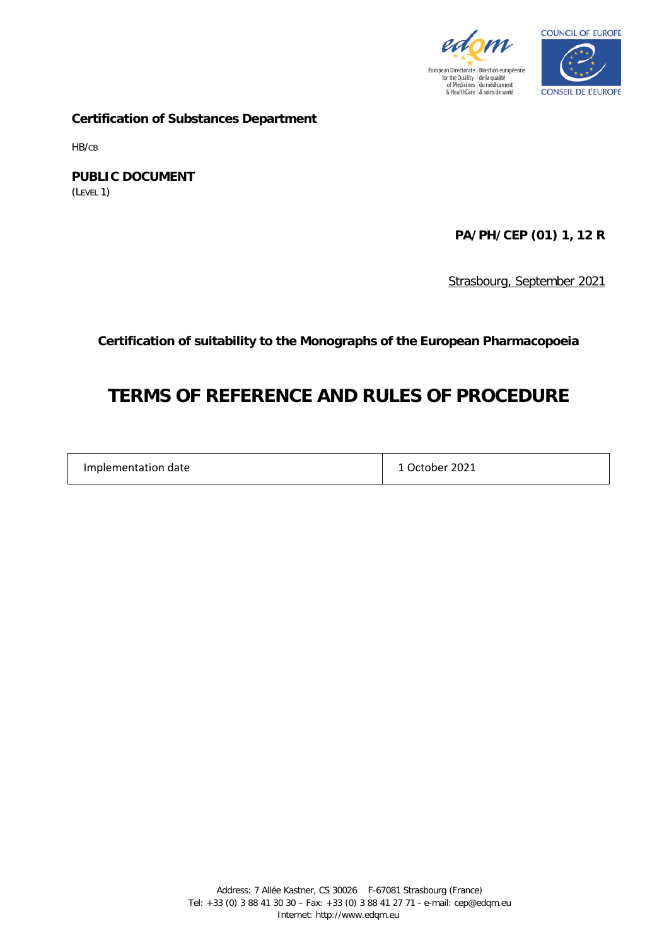



**Certification of Substances Department**

HB/CB

**PUBLIC DOCUMENT** (LEVEL 1)

**PA/PH/CEP (01) 1, 12 R**

Strasbourg, September 2021

**Certification of suitability to the Monographs of the European Pharmacopoeia**

# **TERMS OF REFERENCE AND RULES OF PROCEDURE**

| 1 October 2021<br>Implementation date |  |
|---------------------------------------|--|
|---------------------------------------|--|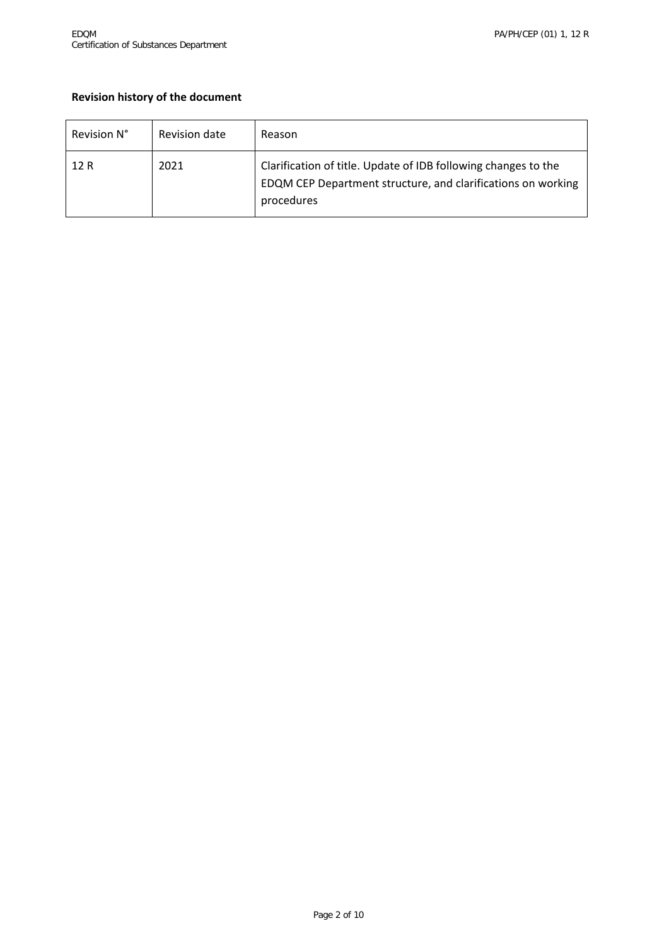# **Revision history of the document**

| Revision N° | Revision date | Reason                                                                                                                                       |
|-------------|---------------|----------------------------------------------------------------------------------------------------------------------------------------------|
| 12 R        | 2021          | Clarification of title. Update of IDB following changes to the<br>EDQM CEP Department structure, and clarifications on working<br>procedures |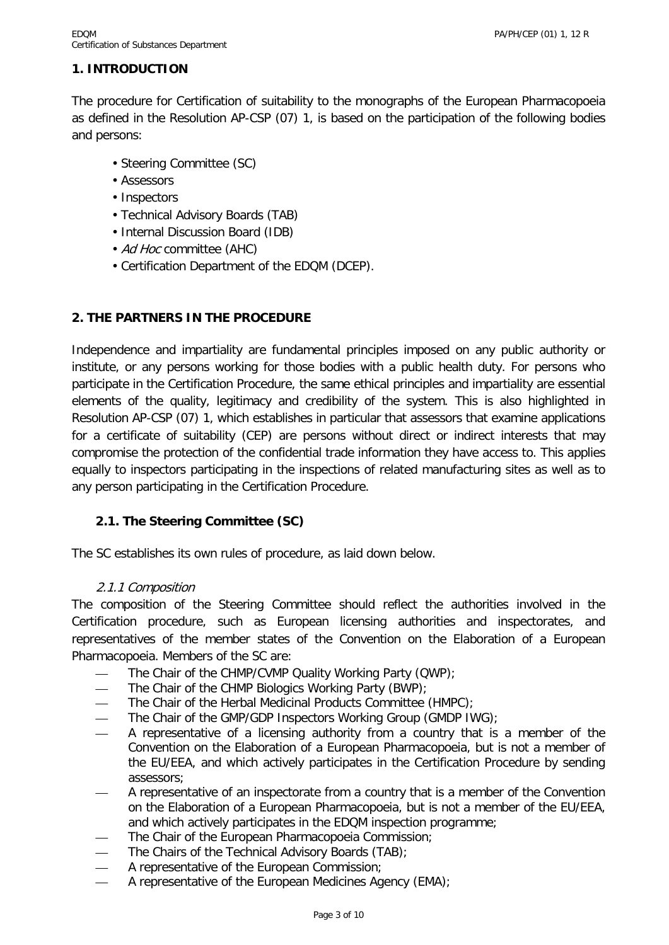# **1. INTRODUCTION**

The procedure for Certification of suitability to the monographs of the European Pharmacopoeia as defined in the Resolution AP-CSP (07) 1, is based on the participation of the following bodies and persons:

- Steering Committee (SC)
- Assessors
- Inspectors
- Technical Advisory Boards (TAB)
- Internal Discussion Board (IDB)
- Ad Hoc committee (AHC)
- Certification Department of the EDQM (DCEP).

# **2. THE PARTNERS IN THE PROCEDURE**

Independence and impartiality are fundamental principles imposed on any public authority or institute, or any persons working for those bodies with a public health duty. For persons who participate in the Certification Procedure, the same ethical principles and impartiality are essential elements of the quality, legitimacy and credibility of the system. This is also highlighted in Resolution AP-CSP (07) 1, which establishes in particular that assessors that examine applications for a certificate of suitability (CEP) are persons without direct or indirect interests that may compromise the protection of the confidential trade information they have access to. This applies equally to inspectors participating in the inspections of related manufacturing sites as well as to any person participating in the Certification Procedure.

# **2.1. The Steering Committee (SC)**

The SC establishes its own rules of procedure, as laid down below.

#### 2.1.1 Composition

The composition of the Steering Committee should reflect the authorities involved in the Certification procedure, such as European licensing authorities and inspectorates, and representatives of the member states of the Convention on the Elaboration of a European Pharmacopoeia. Members of the SC are:

- The Chair of the CHMP/CVMP Quality Working Party (QWP);
- The Chair of the CHMP Biologics Working Party (BWP);
- The Chair of the Herbal Medicinal Products Committee (HMPC);
- The Chair of the GMP/GDP Inspectors Working Group (GMDP IWG);
- A representative of a licensing authority from a country that is a member of the Convention on the Elaboration of a European Pharmacopoeia, but is not a member of the EU/EEA, and which actively participates in the Certification Procedure by sending assessors;
- A representative of an inspectorate from a country that is a member of the Convention on the Elaboration of a European Pharmacopoeia, but is not a member of the EU/EEA, and which actively participates in the EDQM inspection programme;
- The Chair of the European Pharmacopoeia Commission;
- The Chairs of the Technical Advisory Boards (TAB);
- A representative of the European Commission;
- A representative of the European Medicines Agency (EMA);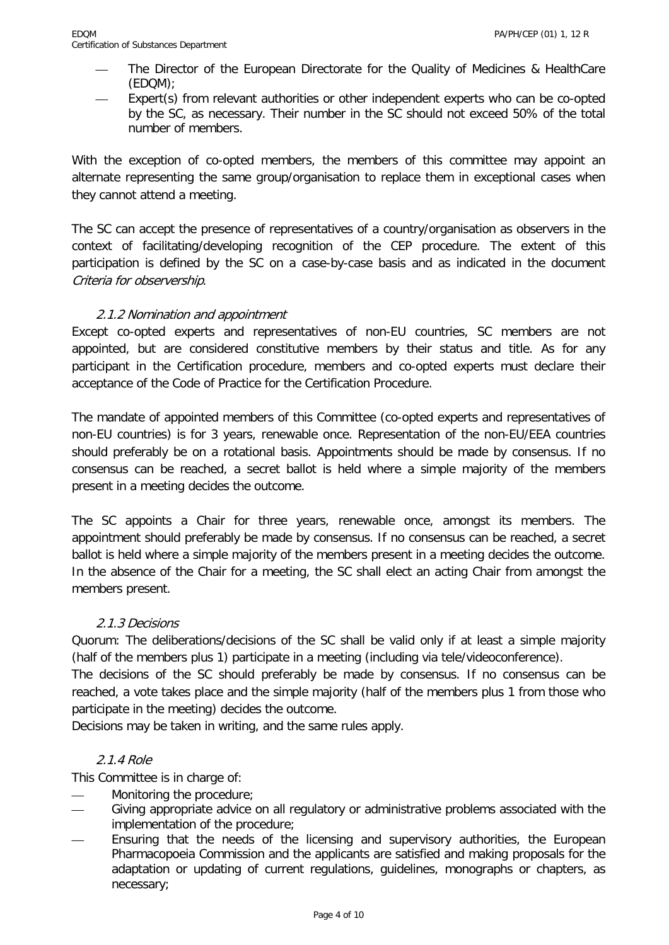- The Director of the European Directorate for the Quality of Medicines & HealthCare (EDQM);
- Expert(s) from relevant authorities or other independent experts who can be co-opted by the SC, as necessary. Their number in the SC should not exceed 50% of the total number of members.

With the exception of co-opted members, the members of this committee may appoint an alternate representing the same group/organisation to replace them in exceptional cases when they cannot attend a meeting.

The SC can accept the presence of representatives of a country/organisation as observers in the context of facilitating/developing recognition of the CEP procedure. The extent of this participation is defined by the SC on a case-by-case basis and as indicated in the document Criteria for observership.

# 2.1.2 Nomination and appointment

Except co-opted experts and representatives of non-EU countries, SC members are not appointed, but are considered constitutive members by their status and title. As for any participant in the Certification procedure, members and co-opted experts must declare their acceptance of the Code of Practice for the Certification Procedure.

The mandate of appointed members of this Committee (co-opted experts and representatives of non-EU countries) is for 3 years, renewable once. Representation of the non-EU/EEA countries should preferably be on a rotational basis. Appointments should be made by consensus. If no consensus can be reached, a secret ballot is held where a simple majority of the members present in a meeting decides the outcome.

The SC appoints a Chair for three years, renewable once, amongst its members. The appointment should preferably be made by consensus. If no consensus can be reached, a secret ballot is held where a simple majority of the members present in a meeting decides the outcome. In the absence of the Chair for a meeting, the SC shall elect an acting Chair from amongst the members present.

# 2.1.3 Decisions

Quorum: The deliberations/decisions of the SC shall be valid only if at least a simple majority (half of the members plus 1) participate in a meeting (including via tele/videoconference).

The decisions of the SC should preferably be made by consensus. If no consensus can be reached, a vote takes place and the simple majority (half of the members plus 1 from those who participate in the meeting) decides the outcome.

Decisions may be taken in writing, and the same rules apply.

# 2.1.4 Role

This Committee is in charge of:

- Monitoring the procedure:
- Giving appropriate advice on all regulatory or administrative problems associated with the implementation of the procedure;
- Ensuring that the needs of the licensing and supervisory authorities, the European Pharmacopoeia Commission and the applicants are satisfied and making proposals for the adaptation or updating of current regulations, guidelines, monographs or chapters, as necessary;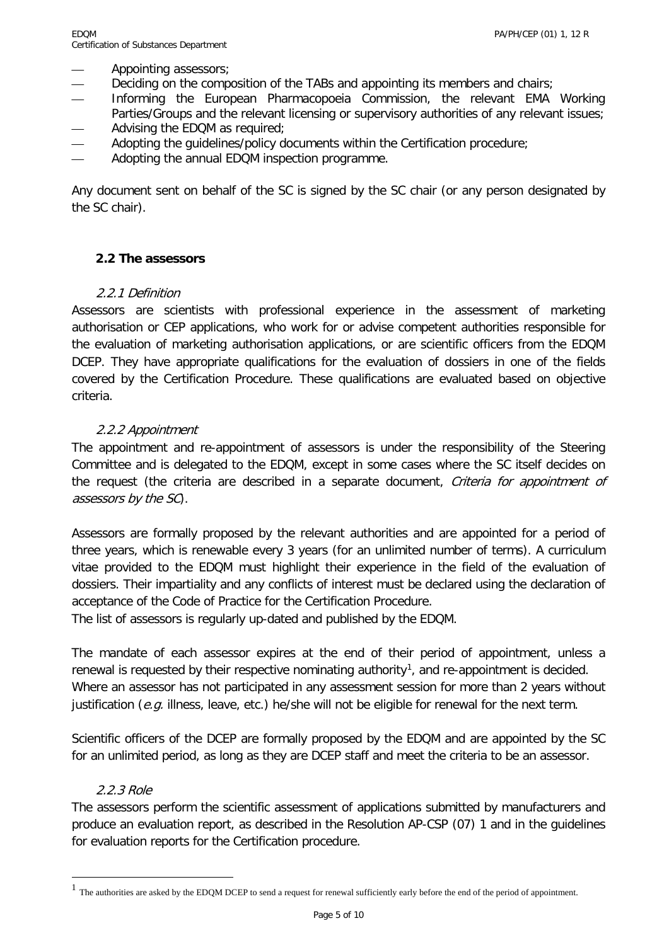Appointing assessors;

- Deciding on the composition of the TABs and appointing its members and chairs;
- Informing the European Pharmacopoeia Commission, the relevant EMA Working Parties/Groups and the relevant licensing or supervisory authorities of any relevant issues; Advising the EDQM as required;
- Adopting the quidelines/policy documents within the Certification procedure;
- Adopting the annual EDQM inspection programme.

Any document sent on behalf of the SC is signed by the SC chair (or any person designated by the SC chair).

# **2.2 The assessors**

# 2.2.1 Definition

Assessors are scientists with professional experience in the assessment of marketing authorisation or CEP applications, who work for or advise competent authorities responsible for the evaluation of marketing authorisation applications, or are scientific officers from the EDQM DCEP. They have appropriate qualifications for the evaluation of dossiers in one of the fields covered by the Certification Procedure. These qualifications are evaluated based on objective criteria.

# 2.2.2 Appointment

The appointment and re-appointment of assessors is under the responsibility of the Steering Committee and is delegated to the EDQM, except in some cases where the SC itself decides on the request (the criteria are described in a separate document, Criteria for appointment of assessors by the SC).

Assessors are formally proposed by the relevant authorities and are appointed for a period of three years, which is renewable every 3 years (for an unlimited number of terms). A curriculum vitae provided to the EDQM must highlight their experience in the field of the evaluation of dossiers. Their impartiality and any conflicts of interest must be declared using the declaration of acceptance of the Code of Practice for the Certification Procedure.

The list of assessors is regularly up-dated and published by the EDQM.

The mandate of each assessor expires at the end of their period of appointment, unless a renewal is requested by their respective nominating authority<sup>[1](#page-4-0)</sup>, and re-appointment is decided. Where an assessor has not participated in any assessment session for more than 2 years without justification (e.g. illness, leave, etc.) he/she will not be eligible for renewal for the next term.

Scientific officers of the DCEP are formally proposed by the EDQM and are appointed by the SC for an unlimited period, as long as they are DCEP staff and meet the criteria to be an assessor.

# 2.2.3 Role

 $\overline{\phantom{a}}$ 

The assessors perform the scientific assessment of applications submitted by manufacturers and produce an evaluation report, as described in the Resolution AP-CSP (07) 1 and in the guidelines for evaluation reports for the Certification procedure.

<span id="page-4-0"></span> $1$  The authorities are asked by the EDQM DCEP to send a request for renewal sufficiently early before the end of the period of appointment.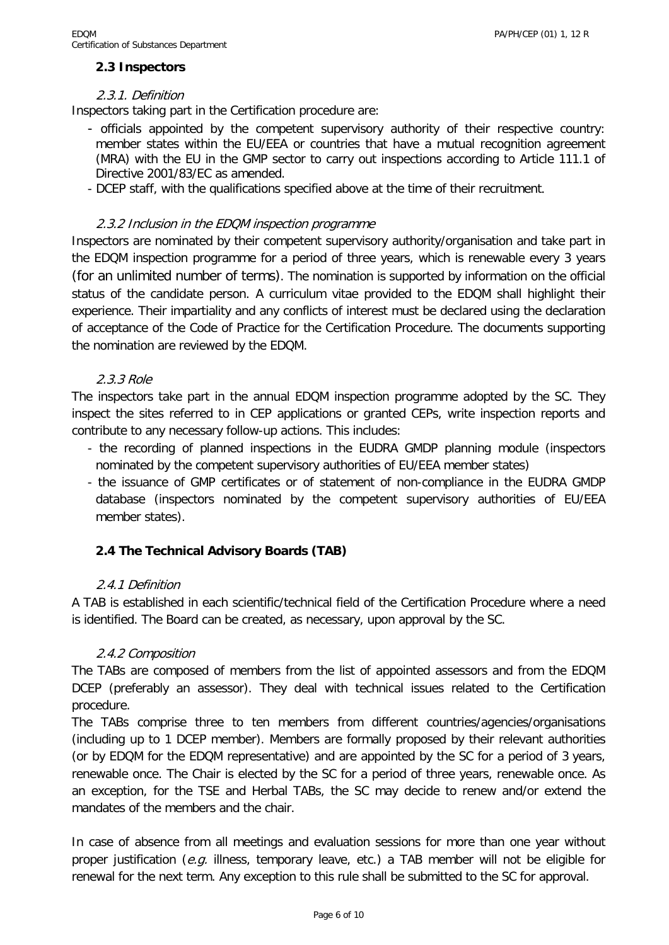# **2.3 Inspectors**

#### 2.3.1. Definition

Inspectors taking part in the Certification procedure are:

- officials appointed by the competent supervisory authority of their respective country: member states within the EU/EEA or countries that have a mutual recognition agreement (MRA) with the EU in the GMP sector to carry out inspections according to Article 111.1 of Directive 2001/83/EC as amended.
- DCEP staff, with the qualifications specified above at the time of their recruitment.

#### 2.3.2 Inclusion in the EDQM inspection programme

Inspectors are nominated by their competent supervisory authority/organisation and take part in the EDQM inspection programme for a period of three years, which is renewable every 3 years (for an unlimited number of terms). The nomination is supported by information on the official status of the candidate person. A curriculum vitae provided to the EDQM shall highlight their experience. Their impartiality and any conflicts of interest must be declared using the declaration of acceptance of the Code of Practice for the Certification Procedure. The documents supporting the nomination are reviewed by the EDQM.

#### 2.3.3 Role

The inspectors take part in the annual EDQM inspection programme adopted by the SC. They inspect the sites referred to in CEP applications or granted CEPs, write inspection reports and contribute to any necessary follow-up actions. This includes:

- the recording of planned inspections in the EUDRA GMDP planning module (inspectors nominated by the competent supervisory authorities of EU/EEA member states)
- the issuance of GMP certificates or of statement of non-compliance in the EUDRA GMDP database (inspectors nominated by the competent supervisory authorities of EU/EEA member states).

# **2.4 The Technical Advisory Boards (TAB)**

#### 2.4.1 Definition

A TAB is established in each scientific/technical field of the Certification Procedure where a need is identified. The Board can be created, as necessary, upon approval by the SC.

# 2.4.2 Composition

The TABs are composed of members from the list of appointed assessors and from the EDQM DCEP (preferably an assessor). They deal with technical issues related to the Certification procedure.

The TABs comprise three to ten members from different countries/agencies/organisations (including up to 1 DCEP member). Members are formally proposed by their relevant authorities (or by EDQM for the EDQM representative) and are appointed by the SC for a period of 3 years, renewable once. The Chair is elected by the SC for a period of three years, renewable once. As an exception, for the TSE and Herbal TABs, the SC may decide to renew and/or extend the mandates of the members and the chair.

In case of absence from all meetings and evaluation sessions for more than one year without proper justification (e.g. illness, temporary leave, etc.) a TAB member will not be eligible for renewal for the next term. Any exception to this rule shall be submitted to the SC for approval.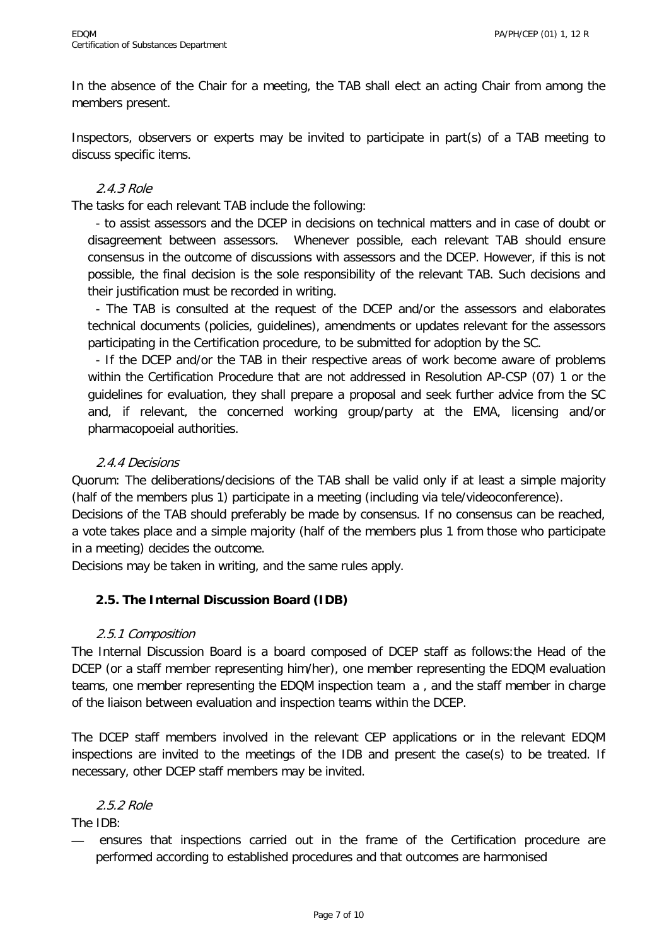In the absence of the Chair for a meeting, the TAB shall elect an acting Chair from among the members present.

Inspectors, observers or experts may be invited to participate in part(s) of a TAB meeting to discuss specific items.

# 2.4.3 Role

The tasks for each relevant TAB include the following:

- to assist assessors and the DCEP in decisions on technical matters and in case of doubt or disagreement between assessors. Whenever possible, each relevant TAB should ensure consensus in the outcome of discussions with assessors and the DCEP. However, if this is not possible, the final decision is the sole responsibility of the relevant TAB. Such decisions and their justification must be recorded in writing.

- The TAB is consulted at the request of the DCEP and/or the assessors and elaborates technical documents (policies, guidelines), amendments or updates relevant for the assessors participating in the Certification procedure, to be submitted for adoption by the SC.

- If the DCEP and/or the TAB in their respective areas of work become aware of problems within the Certification Procedure that are not addressed in Resolution AP-CSP (07) 1 or the guidelines for evaluation, they shall prepare a proposal and seek further advice from the SC and, if relevant, the concerned working group/party at the EMA, licensing and/or pharmacopoeial authorities.

# 2.4.4 Decisions

Quorum: The deliberations/decisions of the TAB shall be valid only if at least a simple majority (half of the members plus 1) participate in a meeting (including via tele/videoconference).

Decisions of the TAB should preferably be made by consensus. If no consensus can be reached, a vote takes place and a simple majority (half of the members plus 1 from those who participate in a meeting) decides the outcome.

Decisions may be taken in writing, and the same rules apply.

# **2.5. The Internal Discussion Board (IDB)**

# 2.5.1 Composition

The Internal Discussion Board is a board composed of DCEP staff as follows:the Head of the DCEP (or a staff member representing him/her), one member representing the EDQM evaluation teams, one member representing the EDQM inspection team a , and the staff member in charge of the liaison between evaluation and inspection teams within the DCEP.

The DCEP staff members involved in the relevant CEP applications or in the relevant EDQM inspections are invited to the meetings of the IDB and present the case(s) to be treated. If necessary, other DCEP staff members may be invited.

# 2.5.2 Role

The IDB:

— ensures that inspections carried out in the frame of the Certification procedure are performed according to established procedures and that outcomes are harmonised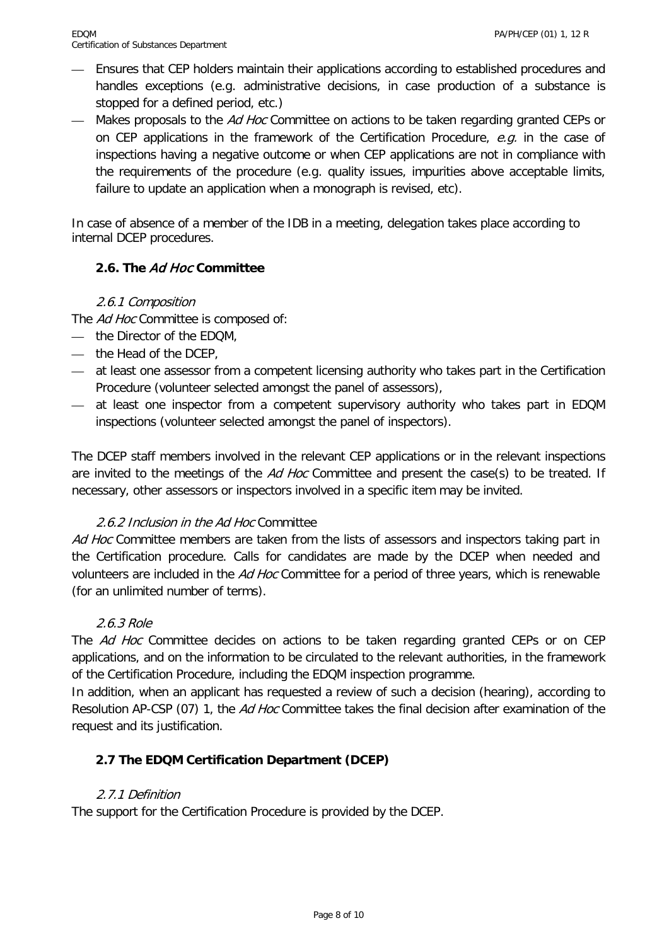- Ensures that CEP holders maintain their applications according to established procedures and handles exceptions (e.g. administrative decisions, in case production of a substance is stopped for a defined period, etc.)
- Makes proposals to the Ad Hoc Committee on actions to be taken regarding granted CEPs or on CEP applications in the framework of the Certification Procedure,  $e.g.$  in the case of inspections having a negative outcome or when CEP applications are not in compliance with the requirements of the procedure (e.g. quality issues, impurities above acceptable limits, failure to update an application when a monograph is revised, etc).

In case of absence of a member of the IDB in a meeting, delegation takes place according to internal DCEP procedures.

# **2.6. The** Ad Hoc **Committee**

# 2.6.1 Composition

The Ad Hoc Committee is composed of:

- the Director of the EDQM,
- the Head of the DCEP,
- at least one assessor from a competent licensing authority who takes part in the Certification Procedure (volunteer selected amongst the panel of assessors),
- at least one inspector from a competent supervisory authority who takes part in EDQM inspections (volunteer selected amongst the panel of inspectors).

The DCEP staff members involved in the relevant CEP applications or in the relevant inspections are invited to the meetings of the Ad Hoc Committee and present the case(s) to be treated. If necessary, other assessors or inspectors involved in a specific item may be invited.

# 2.6.2 Inclusion in the Ad Hoc Committee

Ad Hoc Committee members are taken from the lists of assessors and inspectors taking part in the Certification procedure. Calls for candidates are made by the DCEP when needed and volunteers are included in the Ad Hoc Committee for a period of three years, which is renewable (for an unlimited number of terms).

# 2.6.3 Role

The Ad Hoc Committee decides on actions to be taken regarding granted CEPs or on CEP applications, and on the information to be circulated to the relevant authorities, in the framework of the Certification Procedure, including the EDQM inspection programme.

In addition, when an applicant has requested a review of such a decision (hearing), according to Resolution AP-CSP (07) 1, the Ad Hoc Committee takes the final decision after examination of the request and its justification.

# **2.7 The EDQM Certification Department (DCEP)**

# 2.7.1 Definition

The support for the Certification Procedure is provided by the DCEP.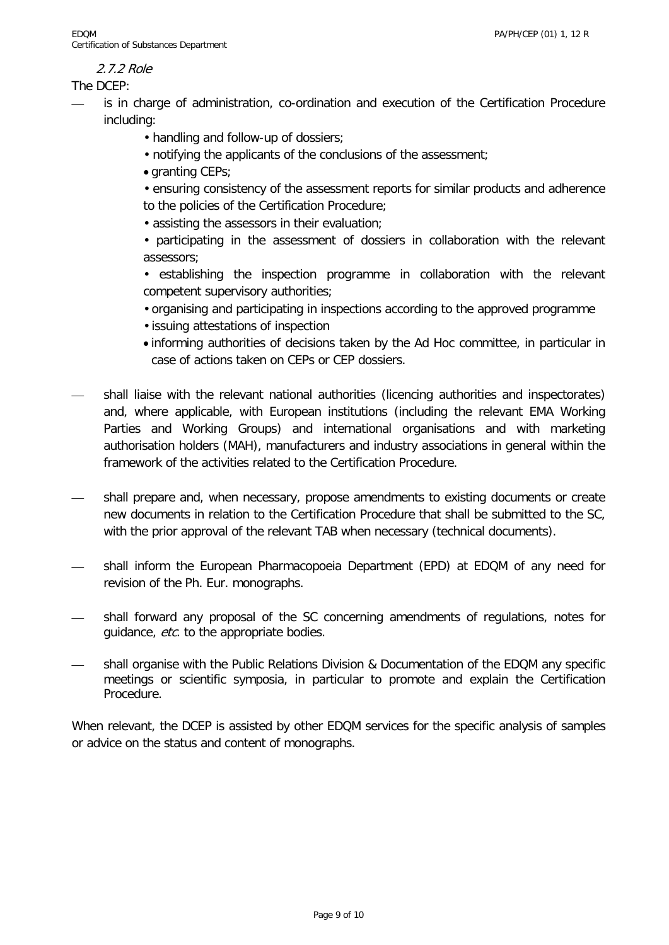# 2.7.2 Role

The DCEP:

- is in charge of administration, co-ordination and execution of the Certification Procedure including:
	- handling and follow-up of dossiers;
	- notifying the applicants of the conclusions of the assessment;
	- granting CEPs;

• ensuring consistency of the assessment reports for similar products and adherence to the policies of the Certification Procedure;

• assisting the assessors in their evaluation;

• participating in the assessment of dossiers in collaboration with the relevant assessors;

• establishing the inspection programme in collaboration with the relevant competent supervisory authorities;

• organising and participating in inspections according to the approved programme

- issuing attestations of inspection
- informing authorities of decisions taken by the Ad Hoc committee, in particular in case of actions taken on CEPs or CEP dossiers.
- shall liaise with the relevant national authorities (licencing authorities and inspectorates) and, where applicable, with European institutions (including the relevant EMA Working Parties and Working Groups) and international organisations and with marketing authorisation holders (MAH), manufacturers and industry associations in general within the framework of the activities related to the Certification Procedure.
- shall prepare and, when necessary, propose amendments to existing documents or create new documents in relation to the Certification Procedure that shall be submitted to the SC, with the prior approval of the relevant TAB when necessary (technical documents).
- shall inform the European Pharmacopoeia Department (EPD) at EDQM of any need for revision of the Ph. Eur. monographs.
- shall forward any proposal of the SC concerning amendments of regulations, notes for quidance, etc. to the appropriate bodies.
- shall organise with the Public Relations Division & Documentation of the EDQM any specific meetings or scientific symposia, in particular to promote and explain the Certification Procedure.

When relevant, the DCEP is assisted by other EDQM services for the specific analysis of samples or advice on the status and content of monographs.